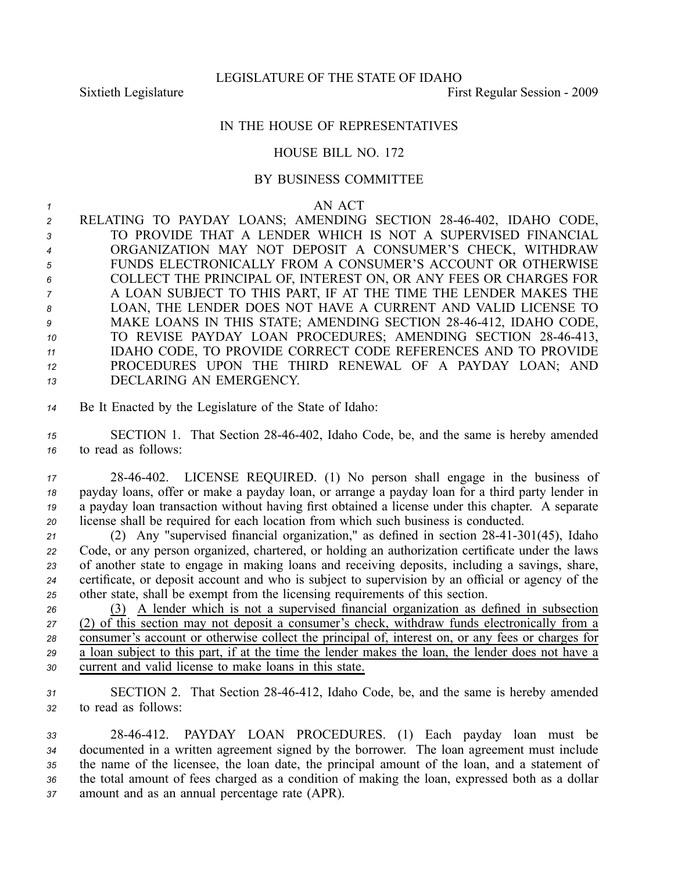## IN THE HOUSE OF REPRESENTATIVES

## HOUSE BILL NO. 172

## BY BUSINESS COMMITTEE

*<sup>1</sup>* AN ACT

2 RELATING TO PAYDAY LOANS; AMENDING SECTION 28-46-402, IDAHO CODE, TO PROVIDE THAT A LENDER WHICH IS NOT A SUPERVISED FINANCIAL ORGANIZATION MAY NOT DEPOSIT A CONSUMER'S CHECK, WITHDRAW FUNDS ELECTRONICALLY FROM A CONSUMER'S ACCOUNT OR OTHERWISE COLLECT THE PRINCIPAL OF, INTEREST ON, OR ANY FEES OR CHARGES FOR A LOAN SUBJECT TO THIS PART, IF AT THE TIME THE LENDER MAKES THE LOAN, THE LENDER DOES NOT HAVE A CURRENT AND VALID LICENSE TO 9 MAKE LOANS IN THIS STATE; AMENDING SECTION 28-46-412, IDAHO CODE, 10 TO REVISE PAYDAY LOAN PROCEDURES; AMENDING SECTION 28-46-413, IDAHO CODE, TO PROVIDE CORRECT CODE REFERENCES AND TO PROVIDE PROCEDURES UPON THE THIRD RENEWAL OF A PAYDAY LOAN; AND DECLARING AN EMERGENCY.

*<sup>14</sup>* Be It Enacted by the Legislature of the State of Idaho:

*<sup>15</sup>* SECTION 1. That Section 2846402, Idaho Code, be, and the same is hereby amended *<sup>16</sup>* to read as follows:

 2846402. LICENSE REQUIRED. (1) No person shall engage in the business of payday loans, offer or make <sup>a</sup> payday loan, or arrange <sup>a</sup> payday loan for <sup>a</sup> third party lender in <sup>a</sup> payday loan transaction without having first obtained <sup>a</sup> license under this chapter. A separate license shall be required for each location from which such business is conducted.

21 (2) Any "supervised financial organization," as defined in section 28-41-301(45), Idaho Code, or any person organized, chartered, or holding an authorization certificate under the laws of another state to engage in making loans and receiving deposits, including <sup>a</sup> savings, share, certificate, or deposit account and who is subject to supervision by an official or agency of the other state, shall be exemp<sup>t</sup> from the licensing requirements of this section.

 (3) A lender which is not <sup>a</sup> supervised financial organization as defined in subsection (2) of this section may not deposit <sup>a</sup> consumer's check, withdraw funds electronically from <sup>a</sup> consumer's account or otherwise collect the principal of, interest on, or any fees or charges for <sup>a</sup> loan subject to this part, if at the time the lender makes the loan, the lender does not have <sup>a</sup> current and valid license to make loans in this state.

*<sup>31</sup>* SECTION 2. That Section 2846412, Idaho Code, be, and the same is hereby amended *<sup>32</sup>* to read as follows:

 2846412. PAYDAY LOAN PROCEDURES. (1) Each payday loan must be documented in <sup>a</sup> written agreemen<sup>t</sup> signed by the borrower. The loan agreemen<sup>t</sup> must include the name of the licensee, the loan date, the principal amount of the loan, and <sup>a</sup> statement of the total amount of fees charged as <sup>a</sup> condition of making the loan, expressed both as <sup>a</sup> dollar amount and as an annual percentage rate (APR).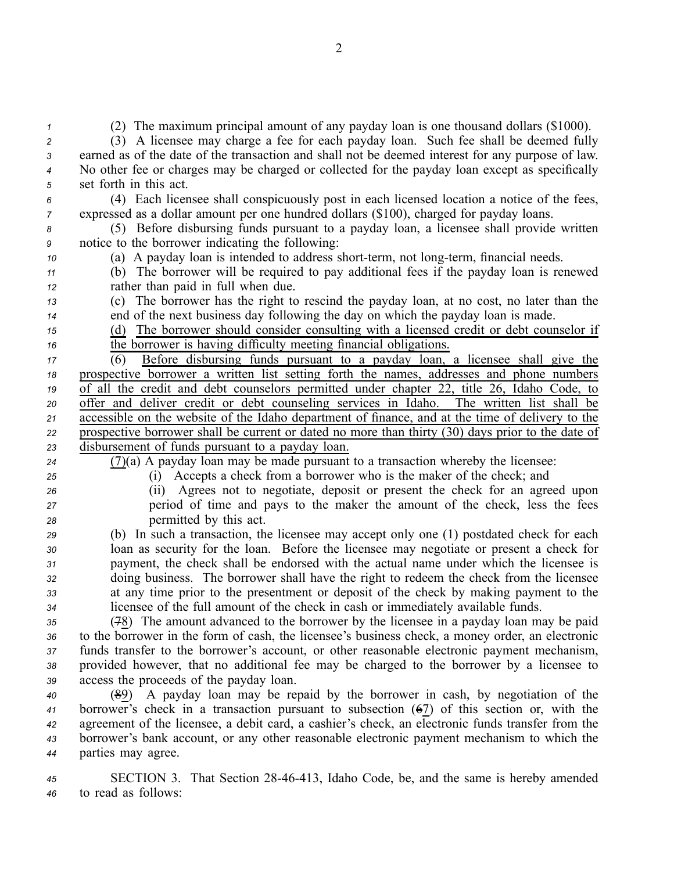(2) The maximum principal amount of any payday loan is one thousand dollars (\$1000). (3) A licensee may charge <sup>a</sup> fee for each payday loan. Such fee shall be deemed fully earned as of the date of the transaction and shall not be deemed interest for any purpose of law. No other fee or charges may be charged or collected for the payday loan excep<sup>t</sup> as specifically set forth in this act. (4) Each licensee shall conspicuously pos<sup>t</sup> in each licensed location <sup>a</sup> notice of the fees, expressed as <sup>a</sup> dollar amount per one hundred dollars (\$100), charged for payday loans. (5) Before disbursing funds pursuan<sup>t</sup> to <sup>a</sup> payday loan, <sup>a</sup> licensee shall provide written notice to the borrower indicating the following: (a) A payday loan is intended to address short-term, not long-term, financial needs. (b) The borrower will be required to pay additional fees if the payday loan is renewed rather than paid in full when due. (c) The borrower has the right to rescind the payday loan, at no cost, no later than the end of the next business day following the day on which the payday loan is made. (d) The borrower should consider consulting with <sup>a</sup> licensed credit or debt counselor if the borrower is having difficulty meeting financial obligations. (6) Before disbursing funds pursuan<sup>t</sup> to <sup>a</sup> payday loan, <sup>a</sup> licensee shall give the prospective borrower <sup>a</sup> written list setting forth the names, addresses and phone numbers of all the credit and debt counselors permitted under chapter 22, title 26, Idaho Code, to offer and deliver credit or debt counseling services in Idaho. The written list shall be accessible on the website of the Idaho department of finance, and at the time of delivery to the prospective borrower shall be current or dated no more than thirty (30) days prior to the date of disbursement of funds pursuan<sup>t</sup> to <sup>a</sup> payday loan. (7)(a) A payday loan may be made pursuan<sup>t</sup> to <sup>a</sup> transaction whereby the licensee: (i) Accepts <sup>a</sup> check from <sup>a</sup> borrower who is the maker of the check; and (ii) Agrees not to negotiate, deposit or presen<sup>t</sup> the check for an agreed upon period of time and pays to the maker the amount of the check, less the fees permitted by this act. (b) In such <sup>a</sup> transaction, the licensee may accep<sup>t</sup> only one (1) postdated check for each loan as security for the loan. Before the licensee may negotiate or presen<sup>t</sup> <sup>a</sup> check for payment, the check shall be endorsed with the actual name under which the licensee is doing business. The borrower shall have the right to redeem the check from the licensee at any time prior to the presentment or deposit of the check by making paymen<sup>t</sup> to the licensee of the full amount of the check in cash or immediately available funds. (78) The amount advanced to the borrower by the licensee in <sup>a</sup> payday loan may be paid to the borrower in the form of cash, the licensee's business check, <sup>a</sup> money order, an electronic funds transfer to the borrower's account, or other reasonable electronic paymen<sup>t</sup> mechanism, provided however, that no additional fee may be charged to the borrower by <sup>a</sup> licensee to access the proceeds of the payday loan. (89) A payday loan may be repaid by the borrower in cash, by negotiation of the borrower's check in <sup>a</sup> transaction pursuan<sup>t</sup> to subsection (67) of this section or, with the agreemen<sup>t</sup> of the licensee, <sup>a</sup> debit card, <sup>a</sup> cashier's check, an electronic funds transfer from the borrower's bank account, or any other reasonable electronic paymen<sup>t</sup> mechanism to which the

*<sup>44</sup>* parties may agree.

*<sup>45</sup>* SECTION 3. That Section 2846413, Idaho Code, be, and the same is hereby amended *<sup>46</sup>* to read as follows: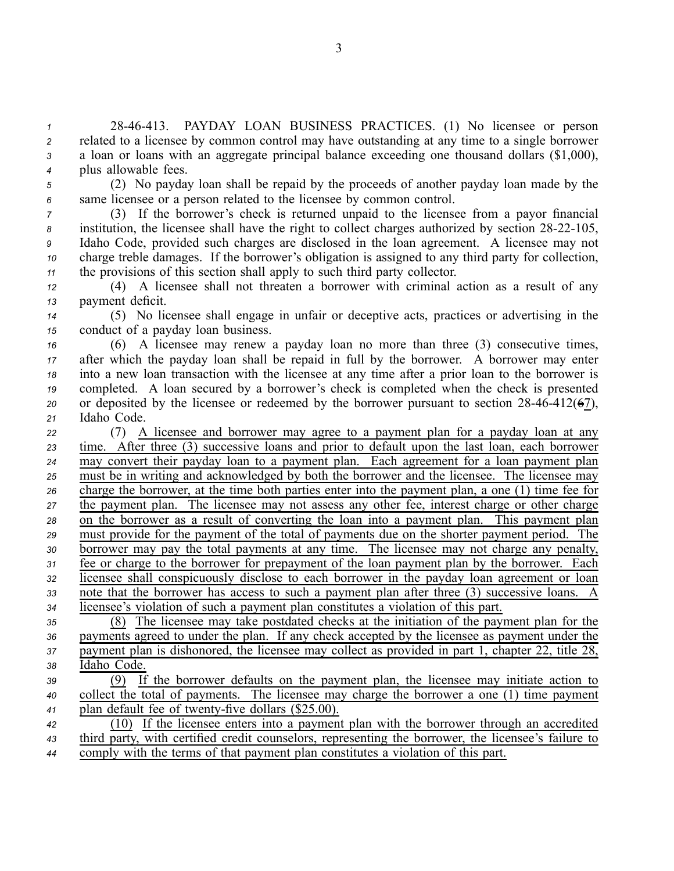2846413. PAYDAY LOAN BUSINESS PRACTICES. (1) No licensee or person related to <sup>a</sup> licensee by common control may have outstanding at any time to <sup>a</sup> single borrower <sup>a</sup> loan or loans with an aggregate principal balance exceeding one thousand dollars (\$1,000), plus allowable fees.

*<sup>5</sup>* (2) No payday loan shall be repaid by the proceeds of another payday loan made by the *<sup>6</sup>* same licensee or <sup>a</sup> person related to the licensee by common control.

 (3) If the borrower's check is returned unpaid to the licensee from <sup>a</sup> payor financial institution, the licensee shall have the right to collect charges authorized by section 28-22-105, Idaho Code, provided such charges are disclosed in the loan agreement. A licensee may not charge treble damages. If the borrower's obligation is assigned to any third party for collection, the provisions of this section shall apply to such third party collector.

*<sup>12</sup>* (4) A licensee shall not threaten <sup>a</sup> borrower with criminal action as <sup>a</sup> result of any *<sup>13</sup>* paymen<sup>t</sup> deficit.

*<sup>14</sup>* (5) No licensee shall engage in unfair or deceptive acts, practices or advertising in the *<sup>15</sup>* conduct of <sup>a</sup> payday loan business.

 (6) A licensee may renew <sup>a</sup> payday loan no more than three (3) consecutive times, after which the payday loan shall be repaid in full by the borrower. A borrower may enter into <sup>a</sup> new loan transaction with the licensee at any time after <sup>a</sup> prior loan to the borrower is completed. A loan secured by <sup>a</sup> borrower's check is completed when the check is presented or deposited by the licensee or redeemed by the borrower pursuant to section  $28-46-412(67)$ , Idaho Code.

 (7) A licensee and borrower may agree to <sup>a</sup> paymen<sup>t</sup> plan for <sup>a</sup> payday loan at any time. After three (3) successive loans and prior to default upon the last loan, each borrower may convert their payday loan to <sup>a</sup> paymen<sup>t</sup> plan. Each agreemen<sup>t</sup> for <sup>a</sup> loan paymen<sup>t</sup> plan must be in writing and acknowledged by both the borrower and the licensee. The licensee may charge the borrower, at the time both parties enter into the paymen<sup>t</sup> plan, <sup>a</sup> one (1) time fee for the paymen<sup>t</sup> plan. The licensee may not assess any other fee, interest charge or other charge on the borrower as <sup>a</sup> result of converting the loan into <sup>a</sup> paymen<sup>t</sup> plan. This paymen<sup>t</sup> plan must provide for the paymen<sup>t</sup> of the total of payments due on the shorter paymen<sup>t</sup> period. The borrower may pay the total payments at any time. The licensee may not charge any penalty, <sup>31</sup> Fee or charge to the borrower for prepayment of the loan payment plan by the borrower. Each licensee shall conspicuously disclose to each borrower in the payday loan agreemen<sup>t</sup> or loan note that the borrower has access to such <sup>a</sup> paymen<sup>t</sup> plan after three (3) successive loans. A licensee's violation of such <sup>a</sup> paymen<sup>t</sup> plan constitutes <sup>a</sup> violation of this part.

 (8) The licensee may take postdated checks at the initiation of the paymen<sup>t</sup> plan for the payments agreed to under the plan. If any check accepted by the licensee as paymen<sup>t</sup> under the paymen<sup>t</sup> plan is dishonored, the licensee may collect as provided in par<sup>t</sup> 1, chapter 22, title 28, Idaho Code.

*<sup>39</sup>* (9) If the borrower defaults on the paymen<sup>t</sup> plan, the licensee may initiate action to *<sup>40</sup>* collect the total of payments. The licensee may charge the borrower <sup>a</sup> one (1) time paymen<sup>t</sup> 41 plan default fee of twenty-five dollars (\$25.00).

*<sup>42</sup>* (10) If the licensee enters into <sup>a</sup> paymen<sup>t</sup> plan with the borrower through an accredited *<sup>43</sup>* third party, with certified credit counselors, representing the borrower, the licensee's failure to *<sup>44</sup>* comply with the terms of that paymen<sup>t</sup> plan constitutes <sup>a</sup> violation of this part.